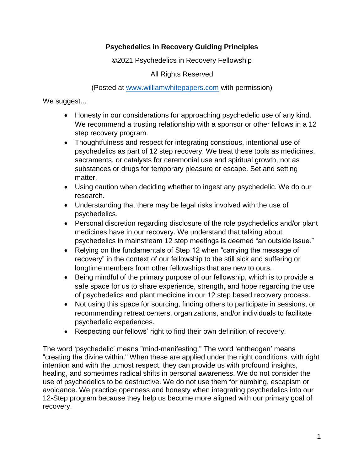## **Psychedelics in Recovery Guiding Principles**

©2021 Psychedelics in Recovery Fellowship

All Rights Reserved

(Posted at [www.williamwhitepapers.com](http://www.williamwhitepapers.com/) with permission)

We suggest...

- Honesty in our considerations for approaching psychedelic use of any kind. We recommend a trusting relationship with a sponsor or other fellows in a 12 step recovery program.
- Thoughtfulness and respect for integrating conscious, intentional use of psychedelics as part of 12 step recovery. We treat these tools as medicines, sacraments, or catalysts for ceremonial use and spiritual growth, not as substances or drugs for temporary pleasure or escape. Set and setting matter.
- Using caution when deciding whether to ingest any psychedelic. We do our research.
- Understanding that there may be legal risks involved with the use of psychedelics.
- Personal discretion regarding disclosure of the role psychedelics and/or plant medicines have in our recovery. We understand that talking about psychedelics in mainstream 12 step meetings is deemed "an outside issue."
- Relying on the fundamentals of Step 12 when "carrying the message of recovery" in the context of our fellowship to the still sick and suffering or longtime members from other fellowships that are new to ours.
- Being mindful of the primary purpose of our fellowship, which is to provide a safe space for us to share experience, strength, and hope regarding the use of psychedelics and plant medicine in our 12 step based recovery process.
- Not using this space for sourcing, finding others to participate in sessions, or recommending retreat centers, organizations, and/or individuals to facilitate psychedelic experiences.
- Respecting our fellows' right to find their own definition of recovery.

The word 'psychedelic' means "mind-manifesting." The word 'entheogen' means "creating the divine within." When these are applied under the right conditions, with right intention and with the utmost respect, they can provide us with profound insights, healing, and sometimes radical shifts in personal awareness. We do not consider the use of psychedelics to be destructive. We do not use them for numbing, escapism or avoidance. We practice openness and honesty when integrating psychedelics into our 12-Step program because they help us become more aligned with our primary goal of recovery.